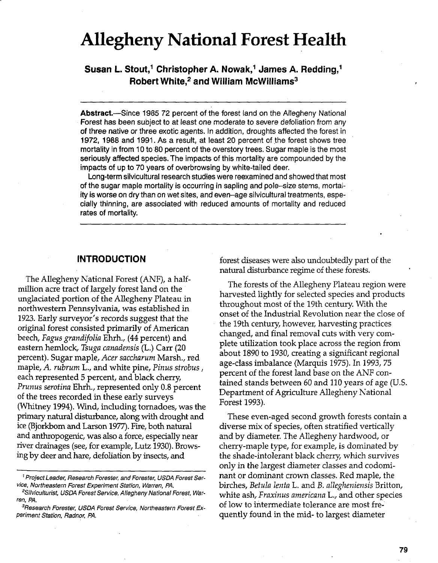# **Allegheny National Forest Health**

**Susan L. Stout,' Christopher A. Nowak,' James A. Redding,' Robert White,2 and William McWilliams3** 

Abstract.-Since 1985 72 percent of the forest land on the Allegheny National Forest has been subject to at least one moderate to severe defoliation from any of three native or three exotic agents. In addition, droughts affected the forest in **1972, 1988** and 1991. As a result, at least 20 percent of the forest shows tree mortality in from 10 to 80 percent of the overstory trees. Sugar maple is the most seriously affected species. The impacts of this mortality are compounded by the impacts of up to 70 years of overbrowsing by white-tailed deer.

Long-term silvicultural research studies were reexamined and showed that most of the sugar maple mortality is occurring in sapling and pole-size stems, mortality is worse on dry than on wet sites, and even-age silvicultural treatments, especially thinning, are associated with reduced amounts of mortality and reduced rates of mortality.

# **INTRODUCTION**

The Allegheny National Forest (ANF), a halfmillion acre tract of largely forest land on the unglaciated portion of the Allegheny Plateau in northwestern Pennsylvania, was established in 1923. Early surveyor's records suggest that the original forest consisted primarily of American beech, *Fagus grandifolia* Ehrh., *(44* percent) and eastern hemlock, *Tsuga canadensis (L.)* Carr *(20* percent). Sugar maple, *Acer saccharum* Marsh., red maple, A. *rubrum* L., and white pine, *Pinus strobus,*  each represented *5* percent, and black cherry, *Prunus serotina* Ehrh., represented only 0.8 percent of the trees recorded in these early surveys (Whitney 1994). Wind, including tornadoes, was the primary natural disturbance, along with drought and ice (Bjorkbom and Larson 1977). Fire, both natural and anthropogenic, was also a force, especially near river drainages (see, for example, Lutz 1930). Browsing by deer and hare, defoliation by insects, and

forest diseases were also undoubtedly part of the natural disturbance regime of these forests.

The forests of the Allegheny Plateau region were harvested lightly for selected species and products throughout most of the 19th century. With the onset of the Industrial Revolution near the close of the 19th century, however, harvesting practices changed, and final removal cuts with very complete utilization took place across the region from about 1890 to 1930, creating a significant regional age-class imbalance (Marquis 1975). In 1993,75 percent of the forest land base on the ANF contained stands between 60 and 110 years of age (U.S. Department of Agriculture Allegheny National Forest 1993).

These even-aged second growth forests contain a diverse mix of species, often stratified vertically and by diameter. The Allegheny hardwood, or cherry-maple type, for example, is dominated by the shade-intolerant black cherry which survives only in the largest diameter classes and codominant or dominant crown classes. Red maple, the birches, *Betula Ientn* L. and *B. allegheniensis* Britton, white ash, *Fraxinus americana* L., and other species of low to intermediate tolerance are most frequently found in the mid- to largest diameter

<sup>&#</sup>x27;Project Leader, Research Forester, and Forester, USDA Forest Service, Northeastern Forest Experiment Station, Warren, PA.

<sup>\*</sup>Silviculturist, USDA Forest Service, Allegheny National Forest, Warren, PA.

<sup>3</sup>Research Forester, USDA Forest Service, Northeastern Forest **Ex**periment Station, Radnor, PA.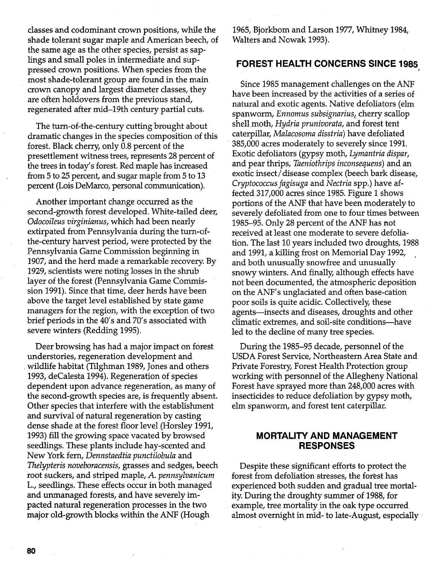classes and codominant crown positions, while the 1965, Bjorkbom and Larson 1977, Whitney 1984, shade tolerant sugar maple and American beech, of Walters and Nowak 1993). the same age as the other species, persist as saplings and small poles in intermediate and suppressed crown positions. When species from the most shade-tolerant group are found in the main crown canopy and largest diameter classes, they are often holdovers from the previous stand, regenerated after mid-19th century partial cuts.

The turn-of-the-century cutting brought about dramatic changes in the species composition of this forest. Black cherry, only 0.8 percent of the presettlement witness trees, represents 28 percent of the trees in today's forest. Red maple has increased from 5 to 25 percent, and sugar maple from 5 to 13 percent (Lois DeMarco, personal communication).

Another important change occurred as the second-growth forest developed. White-tailed deer, Odocoileus virginianus, which had been nearly extirpated from Pennsylvania during the turn-ofthe-century harvest period, were protected by the Pennsylvania Game Commission beginning in 1907, and the herd made a remarkable recovery. By 1929, scientists were noting losses in the shrub layer of the forest (Pennsylvania Game Commission 1991). Since that time, deer herds have been above the target level established by state game managers for the region, with the exception of two brief periods in the 40's and 70's associated with severe winters (Redding 1995).

Deer browsing has had a major impact on forest understories, regeneration development and wildlife habitat (Tilghman 1989, Jones and others 1993, decalesta 1994). Regeneration of species dependent upon advance regeneration, as many of the second-growth species are, is frequently absent. Other species that interfere with the establishment and survival of natural regeneration by casting dense shade at the forest floor level (Horsley 1991, 1993) fill the growing space vacated by browsed seedlings. These plants include hay-scented and New York fern, Dennstaedtia yunctilobula and Thelyyteris noveboracensis, grasses and sedges, beech root suckers, and striped maple, *A.* yennsylvanicum L., seedlings. These effects occur in both managed and unmanaged forests, and have severely impacted natural regeneration processes in the two major old-growth blocks within the ANF (Hough

# **FOREST HEALTH CONCERNS SINCE 1985**

Since 1985 management challenges on the ANF have been increased by the activities of a series of natural and exotic agents. Native defoliators (elm spanworm, Ennomus subsignarius, cherry scallop shell moth, Hydria prunivorata, and forest tent caterpillar, Malacosoma disstria) have defoliated 385,000 acres moderately to severely since 1991. Exotic defoliators (gypsy moth, Lymantria dispar, and pear thrips, Taeniothrips inconsequens) and an exotic insect /disease complex (beech bark disease, Cryytococcus fagisuga and Nectria spp.) have affected 317,000 acres since 1985. Figure 1 shows portions of the ANF that have been moderately to severely defoliated from one to four times between 1985-95. Only 28 percent of the ANF has mot received at least one moderate to severe defoliation. The last 10 years included two droughts, 1988 and 1991, a killing frost on Memorial Day 1992, and both unusually snowfree and unusually snowy winters. And finally, although effects have not been documented, the atmospheric deposition on the ANF's unglaciated and often base-cation poor soils is quite acidic. Collectively, these agents—insects and diseases, droughts and other climatic extremes, and soil-site conditions-have led to the decline of many tree species.

During the 1985-95 decade, personnel of the USDA Forest Service, Northeastern Area State and Private Forestry, Forest Health Protection group working with personnel of the Allegheny National Forest have sprayed more than 248,000 acres with insecticides to reduce defoliation by gypsy moth, elm spanworm, and forest tent caterpillar.

# **MORTALITY AND MANAGEMENT RESPONSES**

Despite these significant efforts to protect the forest from defoliation stresses, the forest has experienced both sudden and gradual tree mortality. During the droughty summer of 1988, for example, tree mortality in the oak type occurred almost overnight in mid- to late-August, especially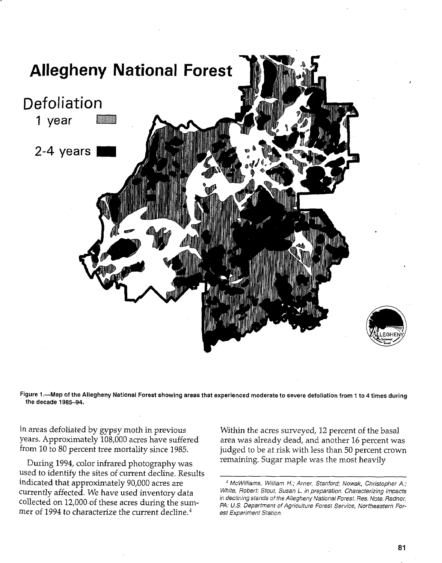

**Figure 1.-Map of the Allegheny National Forest showing areas that experienced moderate to severe defoliation from 1. to 4 times during the decade 1985-94.** 

in areas defoliated by gypsy moth in previous Within the acres surveyed, 12 percent of the basal<br>years. Approximately 108,000 acres have suffered area was already dead, and another 16 percent wa

During 1994, color infrared photography was remaining. Sugar maple was the most heavily used to identify the sites of current decline. Results indicated that approximately 90,000 acres are mer of 1994 to characterize the current decline. $<sup>4</sup>$ </sup>

area was already dead, and another 16 percent was from 10 to 80 percent tree mortality since 1985. judged to be at risk with less than 50 percent crown

<sup>&</sup>lt;sup>4</sup> McWilliams, William H.; Arner. Stanford; Nowak, Christopher A.; White, Robert; Stout, Susan L. in preparation. Characterizing impacts currently affected. We have used inventory data White, Robert; Stout, Susan L. in preparation. Characterizing impacts<br>Collected on 12,000 of these acres during the sum-<br> $P_{A+11}$  Penartment of Agriculture Forest Service, PA: U.S. Department of Agriculture Forest Service, Northeastern For-<br>est Experiment Station.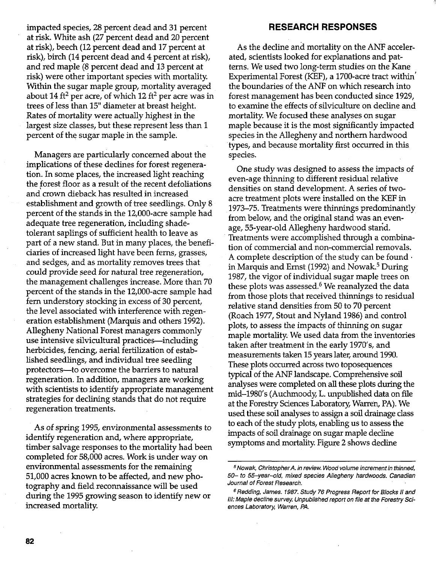impacted species, 28 percent dead and 31 percent at risk. White ash (27 percent dead and 20 percent at risk), beech (12 percent dead and 17 percent at risk), birch (14 percent dead and 4 percent at risk), and red maple (8 percent dead and 13 percent at risk) were other important species with mortality. Within the sugar maple group, mortality averaged about 14 **ft2** per acre, of which 12 **ft2** per acre was in trees of less than 15" diameter at breast height. Rates of mortality were actually highest in the largest size classes, but these represent less than 1 percent of the sugar maple in the sample.

Managers are particularly concerned about the implications of these declines for forest regeneration. In some places, the increased light reaching the forest floor as a result of the recent defoliations and crown dieback has resulted in increased establishment and growth of tree seedlings. Only 8 percent of the stands in the 12,000-acre sample had adequate tree regeneration, including shadetolerant saplings of sufficient health to leave as part of a new stand. But in many places, the beneficiaries of increased light have been ferns, grasses, and sedges, and as mortality removes trees that could provide seed for natural tree regeneration, the management challenges increase. More than 70 percent of the stands in the 12,000-acre sample had fern understory stocking in excess of 30 percent, the level associated with interference with regeneration establishment (Marquis and others 1992). Allegheny National Forest managers commonly use intensive silvicultural practices—including herbicides, fencing, aerial fertilization of established seedlings, and individual tree seedling protectors-to overcome the barriers to natural regeneration. In addition, managers are working with scientists to identify appropriate management strategies for declining stands that do not require regeneration treatments.

**As** of spring 1995, environmental assessments to identify regeneration and, where appropriate, timber salvage responses to the mortality had been completed for 58,000 acres. Work is under way on environmental assessments for the remaining 51,000 acres known to be affected, and new photography and field reconnaissance will be used during the 1995 growing season to identify new or increased mortality.

### **RESEARCH RESPONSES**

As the decline and mortality on the ANF accelerated, scientists looked for explanations and patterns. We used two long-term studies on the Kane Experimental Forest (KEF), a 1700-acre tract within' the boundaries of the ANF on which research into forest management has been conducted since 1929, to examine the effects of silviculture on decline and mortality. We focused these analyses on sugar maple because it is the most significantly impacted species in the Allegheny and northern hardwood types, and because mortality first occurred in this species.

One study was designed to assess the impacts of even-age thinning to different residual relative densities on stand development. **A** series of twoacre treatment plots were installed on the KEF in 1973-75. Treatments were thinnings predominantly from below, and the original stand was an evenage, 55-year-old Allegheny hardwood stand. Treatments were accomplished through a combination of commercial and non-commercial removals. A complete description of the study can be found in Marquis and Ernst (1992) and Nowak.<sup>5</sup> During 1987, the vigor of individual sugar maple trees on these plots was assessed. $6$  We reanalyzed the data from those plots that received thinnings to residual relative stand densities from 50 to 70 percent (Roach 1977, Stout and Nyland 1986) and control plots, to assess the impacts of thinning on sugar maple mortality. We used data from the inventories taken after treatment in the early 1970's, and measurements taken 15 years later, around 1990. These plots occurred across two toposequences typical of the ANF landscape. Comprehensive soil analyses were completed on all these plots during the mid-1980's (Auchrnoody, L. unpublished data on file at the Forestry Sciences Laboratory, Warren, PA). We used these soil analyses to assign a soil drainage class to each of the study plots, enabling us to assess the impacts of soil drainage on sugar maple decline symptoms and mortality. Figure **2** shows decline - -

**Nowak, ChristopherA. in review. Wood volume increment in thinned, 50- to 55-year-old, mixed species Allegheny hardwoods. Canadian Journal of Forest Research.** 

**<sup>&</sup>quot;edding, James. 1987. Study 76 Progress Report for Blocks** I/ **and 111: Maple decline survey. Unpublished report on file at the Forestry Sciences Laboratory, Warren, PA.**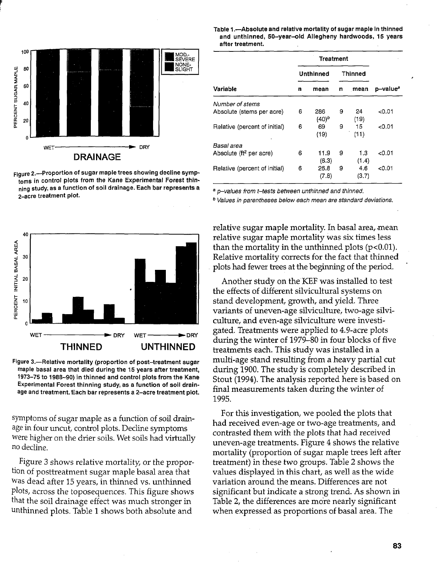

**Figure 2.-Proportion of sugar maple trees showing decline symptoms in control plots from the Kane Experimental Forest thin-** <br> **ning study, as a function of soil drainage. Each bar represents a** ning study, as a function of soil drainage. Each bar represents a bar-values from t-tests between unthinned and thinned.<br>2-acre treatment plot.<br><sup>2</sup> Values in parentheses below each mean are standard deviations.



**Figure 3.-Relative mortality (proportion of post-treatment sugar maple basal area that died during the 15 years after treatment, 1973-75 to 1988-90) in thinned and control plots from the Kane Experimental Forest thinning study, as a function of soil drainage and treatment. Each bar represents a 2-acre treatment plot.** 

symptoms of sugar maple as a function of soil drainage in four uncut, control plots. Decline symptoms were higher on the drier soils. Wet soils had virtually no decline.

Figure *3* shows relative mortality, or the proportion of posttreatment sugar maple basal area that was dead after 15 years, in thinned vs. unthinned plots, across the toposequences. This figure shows that the soil drainage effect was much stronger in unthinned plots. Table 1 shows both absolute and

#### Table 1.-Absolute and relative mortality of sugar maple in thinned **and unthinned, 50-year-old Allegheny hardwoods, 15 years after treatment.**

| Variable                            | <b>Treatment</b> |                 |         |              |                      |
|-------------------------------------|------------------|-----------------|---------|--------------|----------------------|
|                                     | Unthinned        |                 | Thinned |              |                      |
|                                     | n                | mean            | n       | mean         | p-value <sup>a</sup> |
| Number of stems                     |                  |                 |         |              |                      |
| Absolute (stems per acre)           | 6                | 286<br>$(40)^b$ | 9       | 24<br>(19)   | 0.01                 |
| Relative (percent of initial)       | 6                | 69<br>(19)      | 9       | 15<br>(11)   | 0.01                 |
| Basal area                          |                  |                 |         |              |                      |
| Absolute (ft <sup>2</sup> per acre) | 6                | 11.9<br>(6.3)   | 9       | 1.3<br>(1.4) | 0.01ء>               |
| Relative (percent of initial)       | 6                | 26.8<br>(7.8)   | 9       | 4.6<br>(3.7) | <0.01                |

relative sugar maple mortality. In basal area, mean relative sugar maple mortality was six times less than the mortality in the unthinned plots  $(p<0.01)$ . Relative mortality corrects for the fact that thinned plots had fewer trees at the beginning of the period.

Another study on the KEF was installed to test the effects of different silvicultural systems on stand development, growth, and yield. Three variants of uneven-age silviculture, two-age silviculture, and even-age silviculture were investigated. Treatments were applied to 4.9-acre plots during the winter of 1979-80 in four blocks of five treatments each. This study was installed in a multi-age stand resulting from a heavy partial cut during 1900. The study is completely described in Stout (1994). The analysis reported here is based on final measurements taken during the winter of 1995.

For this investigation, we pooled the plots that had received even-age or two-age treatments, and contrasted them with the plots that had received uneven-age treatments. Figure 4 shows the relative mortality (proportion of sugar maple trees left after treatment) in these two groups. Table 2 shows the values displayed in this chart, as well as the wide variation around the means. Differences are not significant but indicate a strong trend. As shown in Table 2, the differences are more nearly significant when expressed as proportions of basal area. The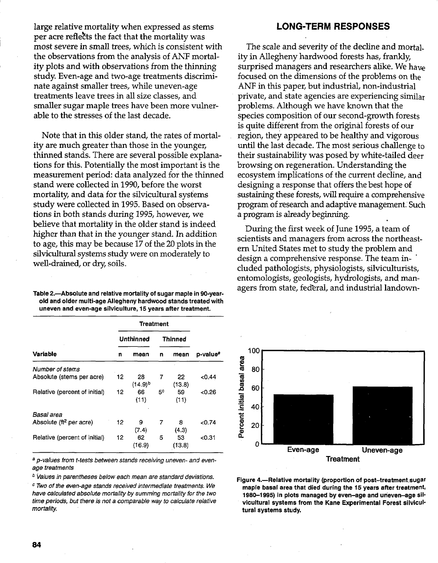large relative mortality when expressed as stems per acre reflects the fact that the mortality was most severe in small trees, which is consistent with the observations from the analysis of ANF mortality plots and with observations from the thinning study. Even-age and two-age treatments discriminate against smaller trees, while uneven-age treatments leave trees in all size classes, and smaller sugar maple trees have been more vulnerable to the stresses of the last decade.

Note that in this older stand, the rates of mortality are much greater than those in the younger, thinned stands. There are several possible explanations for this. Potentially the most important is the measurement period: data analyzed for the thinned stand were collected in 1990, before the worst mortality, and data for the silvicultural systems study were collected in 1995. Based on observations in both stands during 1995, however, we believe that mortality in the older stand is indeed higher than that in the younger stand. In addition to age, this may be because 17 of the 20 plots in the silvicultural systems study were on moderately to well-drained, or dry, soils.

| Table 2.-Absolute and relative mortality of sugar maple in 90-year- |
|---------------------------------------------------------------------|
| old and older multi-age Allegheny hardwood stands treated with      |
| uneven and even-age silviculture, 15 years after treatment.         |

| Variable                      | Treatment |                    |                |              |                      |
|-------------------------------|-----------|--------------------|----------------|--------------|----------------------|
|                               | Unthinned |                    | <b>Thinned</b> |              |                      |
|                               | n         | mean               | n              | mean         | p-value <sup>s</sup> |
| Number of stems               |           |                    |                |              |                      |
| Absolute (stems per acre)     | 12        | 28<br>$(14.9)^{b}$ | 7              | 22<br>(13.8) | < 0.44               |
| Relative (percent of initial) | 12        | 66<br>(11)         | 5°             | 59<br>(11)   | <0.26                |
| Basal area                    |           |                    |                |              |                      |
| Absolute $(t2$ per acre)      | 12        | 9<br>(7.4)         | 7              | 8<br>(4.3)   | <በ.74                |
| Relative (percent of initial) | 12        | 62<br>(16.9)       | 5              | 53<br>(13.8) | <0.31                |

**a p-values from t-tests between stands receiving uneven- and evenage treatments** 

\* **Values in parentheses below each mean are standard deviations.** 

**Two of the even-age stands received intermediate treatments. We have calculated absolute mortality by summing mortality for the two time periods, but there is not a comparable way to calculate relative mortality.** 

#### **LONG-TERM RESPONSES**

The scale and severity of the decline and mortality in Allegheny hardwood forests has, frankly, surprised managers and researchers alike. We haw focused on the dimensions of the problems on the ANF in this paper, but industrial, non-industrial private, and state agencies are experiencing similar problems. Although we have known that the species composition of our second-growth forests is quite different from the original forests of our region, they appeared to be healthy and vigorous until the last decade. The most serious challenge to their sustainability was posed by white-tailed deer browsing on regeneration. Understanding the ecosystem implications of the current decline, and designing a response that offers the best hope of sustaining these forests, will require a comprehensive program of research and adaptive management. Such a program is already beginning.

During the first week of June 1995, a team of scientists and managers from across the northeastern United States met to study the problem and design a comprehensive response. The team included pathologists, physiologists, silviculturists, entomologists, geologists, hydrologists, and managers from state, fed'eral, and industrial landown-



Figure 4.-Relative mortality (proportion of post-treatment sugar **maple basal area that died during the 15 years after treatment, 1980-1995) in plots managed by even-age and uneven-age silvicultural systems from the Kane Experimental Forest silvicultural systems study.**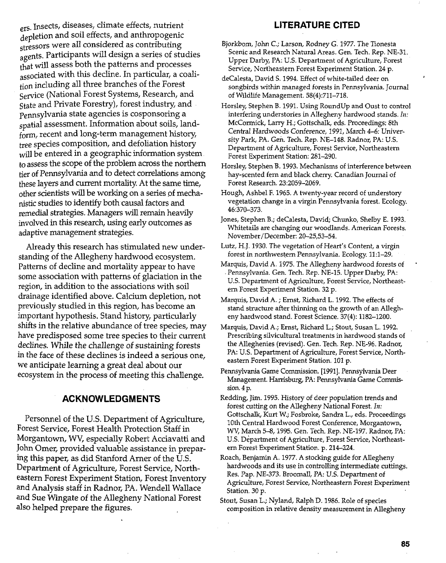ers. Insects, diseases, climate effects, nutrient depletion and soil effects, and anthropogenic stressors were all considered as contributing agents. Participants will design a series of studies that will assess both the patterns and processes associated with this decline. In particular, a coalition including all three branches of the Forest Service (National Forest Systems, Research, and State and Private Forestry), forest industry, and pennsylvania state agencies is cosponsoring a patial assessment. Information about soils, landform, recent and long-term management history, tree species composition, and defoliation history will be entered in a geographic information system. to assess the scope of the problem across the northern tier of Pennsylvania and to detect correlations among these layers and current mortality. At the same time, other scientists will be working on a series of mechanistic studies to identify both causal factors and remedial strategies. Managers will remain heavily involved in this research, using early outcomes as adaptive management strategies.

Already this research has stimulated new understanding of the Allegheny hardwood ecosystem. Patterns of decline and mortality appear to have some association with patterns of glaciation in the region, in addition to the associations with soil drainage identified above. Calcium depletion, not previously studied in this region, has become an important hypothesis. Stand history, particularly shifts in the relative abundance of tree species, may have predisposed some tree species to their current declines. While the challenge of sustaining forests in the face of these declines is indeed a serious one, we anticipate learning a great deal about our ecosystem in the process of meeting this challenge.

# **ACKNOWLEDGMENTS**

Personnel of the U.S. Department of Agriculture, Forest Service, Forest Health Protection Staff in Morgantown, **WV,** especially Robert Acciavatti and John Omer, provided valuable assistance in preparing this paper, as did Stanford Arner of the U.S. Department of Agriculture, Forest Service, Northeastern Forest Experiment Station, Forest Inventory and Analysis staff in Radnor, PA. Wendell Wallace and Sue Wingate of the Allegheny National Forest also helped prepare the figures.

# **LITERATURE CITED**

- Bjorkbom, John C.; Larson, Rodney G. 1977. The Tionesta Scenic and Research Natural Areas. Gen. Tech. Rep. NE-31. Upper Darby, PA: U.S. Department of Agriculture, Forest Service, Northeastern Forest Experiment Station. 24 p.
- deCaIesta, David S. 1994. Effect of white-tailed deer on songbirds within managed forests in Pennsylvania. Journal of Wildlife Management. 58(4):711-718.
- Horsley, Stephen B. 1991. Using RoundUp and Oust to control interfering understories in Allegheny hardwood stands. *Iri:*  McCormick, Larry H.; Gottschalk, eds. Proceedings: 8th Central Hardwoods Conference, 1991, March 4-6: University Park, PA. Gen. Tech. Rep. NE-148. Radnor, PA: U.S. Department of Agriculture, Forest Service, Northeastern Forest Experiment Station: 281-290.
- Horsley, Stephen B. 1993. Mechanisms of interference between hay-scented fern and black cherry. Canadian Journal of Forest Research. 23:2059-2069.
- Hough, Ashbel F. 1965. A twenty-year record of understory vegetation change in a virgin Pennsylvania forest. Ecology. 46:370-373.
- Jones, Stephen B.; decalesta, David; Chunko, SheIby E. 1993. WhitetaiIs are changing our woodlands. American Forests. November/December: 20-25,53-54.
- Lutz, H.J. 1930. The vegetation of Heart's Content, a virgin forest in northwestern Pennsylvania. Ecology. 11:l-29.
- Marquis, David A. 1975. The Allegheny hardwood forests of Pennsylvania. Gen. Tech. Rep. NE-15. Upper Darby, PA: U.S. Department of Agriculture, Forest Service, Northeastem Forest Experiment Station. 32 p.
- Marquis, David A. ; Ernst, Richard L. 1992. The effects of stand structure after thinning on the growth of an Allegheny hardwood stand. Forest Science. 37(4): 1182-1200.
- Marquis, David A.; Ernst, Richard L.; Stout, Susan L. 1992. Prescribing silvicultural treatments in hardwood stands of the Alleghenies (revised). Gen. Tech. Rep. NE-96. Radnor, PA: U.S. Department of Agriculture, Forest Service, Northeastern Forest Experiment Station. 101 p.
- Pennsylvania Game Commission. 119911. Pennsylvania Deer Management. Harrisburg, PA: Pennsylvania Game Commission. 4 p.
- Redding, Jim. 1995. History of deer population trends and forest cutting on the Allegheny National Forest. *111:*  Gottschalk, Kurt W.; Fosbroke, Sandra L., eds. Proceedings 10th Central Hardwood Forest Conference, Morgantown, WV, March 54,1995. Gen. Tech. Rep. NE-197. Radnor, PA: U.S. Department of Agriculture, Forest Service, Northeastern Forest Experiment Station. p. 214-224.
- Roach, Benjamin A. 1977. A stocking guide for AlIegheny hardwoods and its use in controlling intermediate cuttings. Res. Pap. NE-373. Broomall, PA: U.S. Department of Agriculture, Forest Service, Northeastern Forest Experiment Station. **30** p.
- Stout, Susan L.; Nyland, Ralph D. 1986. Role of species composition in relative density measurement in Allegheny